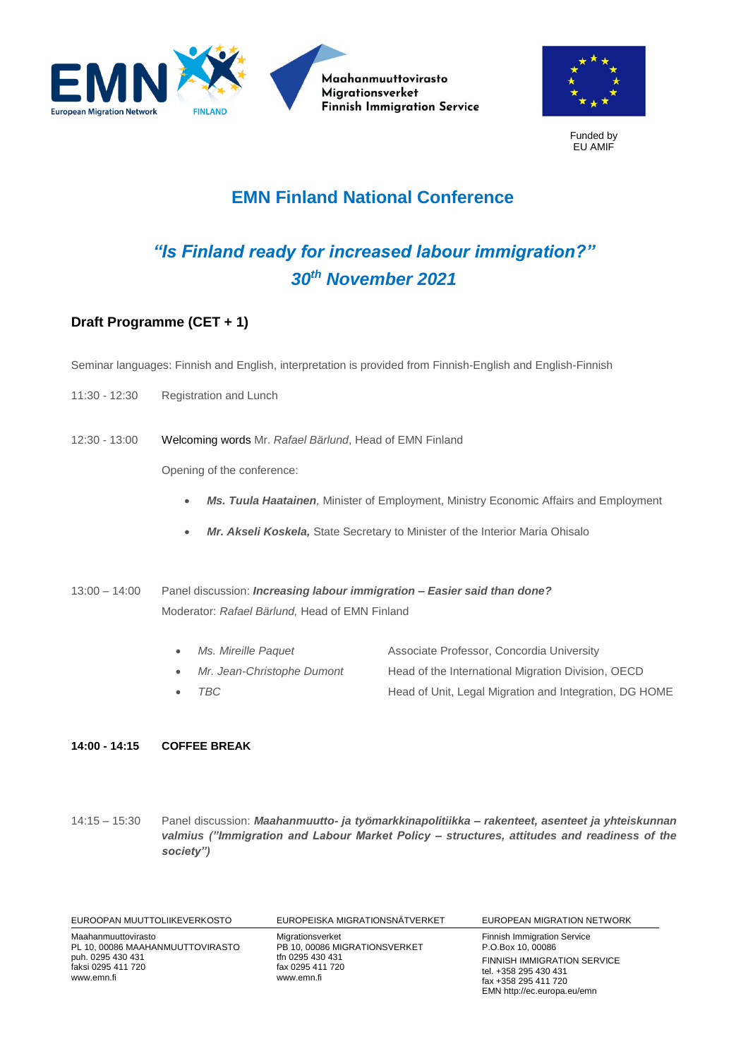



Funded by EU AMIF

## **EMN Finland National Conference**

## *"Is Finland ready for increased labour immigration?" 30th November 2021*

## **Draft Programme (CET + 1)**

Seminar languages: Finnish and English, interpretation is provided from Finnish-English and English-Finnish

- 11:30 12:30 Registration and Lunch
- 12:30 13:00 Welcoming words Mr. *Rafael Bärlund*, Head of EMN Finland

Opening of the conference:

- *Ms. Tuula Haatainen,* Minister of Employment, Ministry Economic Affairs and Employment
- *Mr. Akseli Koskela,* State Secretary to Minister of the Interior Maria Ohisalo
- 13:00 14:00 Panel discussion: *Increasing labour immigration – Easier said than done?* Moderator: *Rafael Bärlund,* Head of EMN Finland
	- *Ms. Mireille Paquet* Associate Professor, Concordia University • *Mr. Jean-Christophe Dumont* Head of the International Migration Division, OECD **TBC Head of Unit, Legal Migration and Integration, DG HOME**

## **14:00 - 14:15 COFFEE BREAK**

14:15 – 15:30 Panel discussion: *Maahanmuutto- ja työmarkkinapolitiikka – rakenteet, asenteet ja yhteiskunnan valmius ("Immigration and Labour Market Policy – structures, attitudes and readiness of the society")*

| EUROOPAN MUUTTOLIIKEVERKOSTO                                                                                     | EUROPEISKA MIGRATIONSNÄTVERKET                                                                          | EUROPEAN MIGRATION NETWORK                                                                                                                                                    |
|------------------------------------------------------------------------------------------------------------------|---------------------------------------------------------------------------------------------------------|-------------------------------------------------------------------------------------------------------------------------------------------------------------------------------|
| Maahanmuuttovirasto<br>PL 10, 00086 MAAHANMUUTTOVIRASTO<br>puh. 0295 430 431<br>faksi 0295 411 720<br>www.emn.fi | Migrationsverket<br>PB 10, 00086 MIGRATIONSVERKET<br>tfn 0295 430 431<br>fax 0295 411 720<br>www.emn.fi | <b>Finnish Immigration Service</b><br>P.O.Box 10, 00086<br><b>FINNISH IMMIGRATION SERVICE</b><br>tel. +358 295 430 431<br>fax +358 295 411 720<br>EMN http://ec.europa.eu/emn |